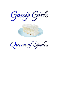Gossip Girls



Queen of Spades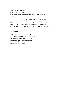Gossip Girls (A Short Story) By Author Queen of Spades © May 2021 by Queen of Spades and All Authors Publishing House All rights reserved.

This is a free short story publication provided to the public on behalf of the author and the author's representative, All Authors Publishing House. No part of this book may be reproduced in any written, electronic, recording, or photocopying form without written permission of the authors and/or representatives of All Authors Publishing House. You may contact the publisher at allauthorspp@gmail.com or visiting https://www.allauthorsph.com with any questions, concerns, comments or compliments.

Published by: All Authors Publishing House Interior Design by: All Authors Graphic Design Cover Design by: All Authors Graphic Design Editing by: All Authors Publishing House First eBook Edition Printed in the United States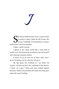J

The always believes that I have a system when<br>
it comes to what I make for the Group. Her<br>
Group. Truthfully, it all boils down to what I<br>
lwhop I rise from slumber it comes to what I make for the Group. *Her Group*. Truthfully, it all boils down to what I smell when I rise from slumber.

Today, I smell coconut.

I glance at her, body curled like a loose ball of acrylic yarn. Her bottom lip is tucked in, per her usual if she is having a fantastic dream.

*It better be of me and not of those other men I picture drooling over her wherever she goes.*

My lips graze her forehead as I go about my routine. I cleanse my hair, face, and body in the shower. I throw on a gray T-shirt and some striped pajama bottoms, which I rescued from the trash a few days prior when she wasn't looking.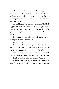There are no holes in them, but the elastic gave out ages ago. For me, two sets of shoestrings tied just perfectly serve as substitutes. Also, it is one of the few pajama pants that have pockets, and one can never have too many pockets.

After sliding my feet into the plushness of the black slippers, I walk in the kitchen to check the percolator. Pleased that she remembered to put in the coffee grounds last night, I turn on the stove and set about my recipe.

By the time the ingredients are mixed, the melody of the percolator touches my ears.

## *Perfect timing.*

I take the tall ceramic mug from the cabinet and pour the liquid. I inhale, immersing myself in the aroma. I wrap my lips around the top and await the coffee's heat and flavor. It is an ecstasy one would not understand. That is, unless, one is a coffee connoisseur. Which I am.

She is not. In her mind, all coffee is *the same*.

I am not offended. It just means I have more to myself. I savor the coffee and the silence. I operate better when there is less ruckus.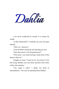Dahlia

I am never awakened by sounds. It is *always* by smells.

"Is that chamomile?" I mumble, my eyes not quite opened.

"That it is," answers J.

I stretch before sitting up and opening my eyes.

"Does that mean I win the grand prize?"

"If by 'prize', you mean having a sneak taste of the dessert, then no."

J laughs as I pout. "Come on Lia. You know it's for the Group. Besides, you can't show up there with a slice of the cake missing."

"You made a cake?" I shake my head in astonishment. "You sure are spoiling those biddies."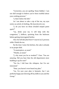"Correction, *you* are spoiling 'those biddies'. I am not dull enough to believe you've been truthful about your cooking prowess."

"J, that's below the belt."

As I am about to take a sip of the tea, my eyes notice an article of clothing. *My least favorite one.*

"J, do you have on those *dreaded* striped pants *again*?"

"Lia, drink your tea. It will help with the congestion," J deflects, sprinting from the bedroom before getting interrogated further.

*How the hell did J find them?* I marvel at J's prowess while I finish the tea.

By the time I enter the kitchen, the cake is already in its proper dish.

"A masterpiece, as usual."

"Thanks, as usual."

"J, why must you be so modest?" I fuss. "You are amazing. Did you hear that the old department store building is up for rent?"

"Yes Lia, I did hear the whispers, but I'm not interested."

"Dear, you haven't even heard my plan."

"Lia, I'm sure your plan is fantastic, but I am perfectly happy just showing off my skills to you and the Group."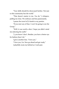"Your skills should be showcased further. Not just to this community but the world."

"That doesn't matter to me. *You* do," J whispers, pulling me close. We embrace and kiss passionately.

I pause the travel of J's hands to my panties.

"If you start any of that, I won't be going to see the Group."

"Well, it was worth a shot. I hope you didn't mind me selecting the outfit."

"J, you know I don't. Besides, you have a better eye for fashion than I do."

I give J another kiss. "I love you."

"I love you, Lia. Now go ahead and get ready."

J playfully swats my behind as I rush past.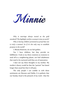Minnie

*Why is marriage always touted as the gold standard? The highlight reel for a woman's time on earth?*

*Why is having children promoted as proof that one is truly a woman? As if it's the only way to establish purpose in the world?*

I, Minnie Braitwite, do *not* feel golden.

Yes, I have children, but they provide no fulfillment. I look at my three creations as creatures to send off to a neighboring planet, not frail inhabitants that need to be nurtured until they are of maturation.

I dare not say these thoughts to my mother. My mother's theory would be that the "partum" has lasted longer than usual but that it will pass.

The only people I can confide in with these sentiments are Sherann and Dahlia. It is pathetic that our Sunday ritual is the pinnacle of my week—that the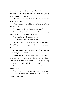act of speaking about someone, who at times, seems more myth than reality, provides the warm feeling in my heart that motherhood cannot.

The tug on my long dress startles me. "Momma, what's for breakfast?"

"Pearl, what are you talking about? You haven't had breakfast yet?"

"No, Momma, that's why I'm asking you."

"Where's Poppa? He was supposed to be making breakfast because I'm going out today."

"He's not here," yells Scottie Junior.

"What do you mean he's not here?"

"When I got up, he was rushing out the door. Something about an emergency job he had to take care  $\alpha$ f"

*Emergency job? So, that's the excuse he's now using to sneak off with that slut!*

"Junior, make Pearl and Pete cereal for breakfast. You can fry yourself a couple of grilled cheese sandwiches. There's tuna already in the fridge, so help yourselves for lunch. I'll be back by dinner."

I hug and kiss Pearl on the cheek, then ruffle Junior's red hair.

"Keep an eye on your sister and brother. Love you."

"Love you too Momma. Tell Miss Sherann and Miss Dahlia I said hello."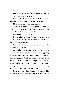"Will do."

Junior is right. Scottie's pickup truck is not outside. *To leave it be or to be petty?*

Even as I ask these questions, I drive in the direction where I suspect my husband is located.

My intuition is an excellent compass.

*What is it about men?* The majority of them never cheat up the social ladder but down the degenerate slope. *Do they lack ambition or just flat-out lazy?*

In Scottie's case, a bit of both.

Do I bust in on the two of them? *No, too dramatic.*

Do I toss a lit cigarette in the worn-down mobile home? *No, too conspicuous.*

I do not care that Scottie's cheating. It is that he lies about being unfaithful.

I do not love Scottie, never have. He was supposed to be the "good time guy" in the meantime. I slipped up by getting pregnant with Junior. Since both of our families are against abortion, he made an honest woman out of me. Pearl and Pete were not planned either, but having children is just something that married couples are expected to do. People believe there's something wrong within the marriage if you do not.

Even so, I must hurt Scottie. I cannot let him believe I'm a compliant cuckquean. Also, he refuses to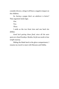consider divorce, citing it will have a negative impact on the children.

*So, having a poppa that's an adulterer is better?* That argument lacks logic.

*One.*

*Two.*

*Three.* 

I smile as the two front tires and one back tire deflate.

*Good luck getting those fixed, since all the auto spots are closed Sundays. Besides, his fat ass needs to lose weight anyway.*

Sliding the blade back in the glove compartment, I resume my travel to meet with Sherann and Dahlia.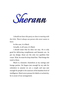Sherann

*I should not have this party so close to meeting with the Girls. There's always one person who never wants to leave.*

In this case, it is Mack.

Actually, *in all cases*, it's Mack.

I should insist that he does not stay. He is only good for delivering compliments and fantastic sex. As per my design, those are the only two qualities that count. Wait, he must be drop-dead fine. That brings the total to three.

Mack is a fantastic chameleon at my outings and lounge parties. He lingers just enough by my side for onlookers to assume we are a couple and says just enough for people to be unaware of his baseline level of intelligence. Mack never presses for labels or exclusivity; he is aware of our arrangement.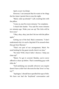*Again, as per my design.*

However, I am annoyed that he wants to be clingy the few times I permit him to stay the night.

"Mack, wake up already!" I yell, swatting him with the pillow.

"Come on, just five more minutes," he complains.

I whack him harder. "You said five more minutes *ten* minutes ago. Wake your ass up! The Girls will be here soon."

"Okay, okay, okay, just don't hit me with the pillow again."

Getting out of the bed, Mack comments, "I don't understand why it is such a big deal if I'm around when they get here Sherann."

"That's *not* part of our arrangement, Mack. No need looking for the guest towels; there's no time."

"No time? Well, what if after I shower, I help you clean up?"

"Mack, I've got it covered. Besides, you've never offered to clean up before. That's something guys with titles do."

"And satisfying you sexually *whenever* you require doesn't have a title? Isn't the term for that 'lover' or 'boy toy'?"

"Apologies. I should have specified the type of title. We have not had the 'boyfriend' conversation and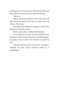cleaning up isn't a 'boy toy' duty. The 'boy toy' fucks and flees, which is exactly what you need to be doing."

"Sherann …"

"Mack, talk and get dressed at the same time, will you? Please be gone by the time I'm done with my shower. I'll call you."

Uncaring of his reaction or response, I rush in the bathroom to start the water.

Mack is gone when I return to the bedroom.

*Sex is supposed to soothe not stress. If Mack starts insisting on the next level because he's catching feelings, I'm going to have to find a new ointment to satisfy my itch.*

"Oh well, this house won't clean itself," I announce. "Perhaps my next sexual conquest should be a housekeeper."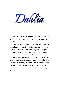Dahlia

*I should have listened to J and shaved my legs last night. These pantyhose are making my legs extremely sweaty.*

The discomfort takes a backseat to all of the compliments I receive while strutting down the sidewalk. The praise varies from neighbor to neighbor.

Mrs. Hornsby gushes about how carnation pink is her favorite color and that I made a wise color selection.

Mr. Davenport notices the shine of my pink Mary Janes, the exact match to the roses on my poodle skirt. On many occasions, J stated that Mr. Davenport sits on the porch to drool over how the ladies prance when they come past the property. I often dismiss J's theory as paranoia.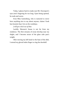Today, I glance back to make sure Mr. Davenport's eyes aren't lingering for too long. Upon being spotted, he nods and waves.

Even Miss Guttenberg, who is rumored to never have anything nice to say about anyone, claims I look less homely than I do on the weekdays.

*J will get a kick out of that.* 

Luckily, Sherann's house is not far from my residence. The first streams of sweat develop near my thighs, and I become aware of the glass cake pan's weight.

After moving my left hand to the base of the dish, I extend my gloved index finger to ring the doorbell.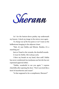Sherann

As I tie the button-down paisley top underneath my bosom, I check my image in the mirror once again.

*To change out of the hot pants or no?* I stare at the bellbottoms hanging in the adjacent closet.

"Nah, it's just Dahlia and Minnie. Besides, it's a matching set."

Just as I head to the veranda, the doorbell sounds. *It must be Dahlia. She's always early.*

I blow my breath on my hand, then sniff. Dahlia has never condemned my marijuana use but she has not expressed approval either.

"Dahlia, wonderful to see you again," I express cheerfully after opening the door. "Don't you look like a bowl of strawberries and cream!"

"Is that supposed to be a compliment, Sherann?"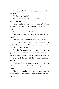"I love strawberries and cream, so what does that tell you?"

"In that case, thanks."

I take the cake from Dahlia's hands then encourage her to follow me.

"Your outfit is very eye catching," Dahlia comments. "What is the name of that print? Abstract? Geometric?"

"Dahlia, I don't know. I just grab what I like."

"Sherann, I'm glad we will be on the veranda today."

"Are you now? I didn't know you had a preference."

"Um … well, it's not that. I just know that Minnie isn't too keen on bugs, which was why we'd be in the kitchen or the lounge area."

"It helps that I found a contractor who gave me a good deal on the fencing," I offer as explanation while placing the stand in the center of the table. "Dahlia, can you please grab the tray with the sweet tea and water pitchers?"

"Of course," Dahlia responds. While I remove the pitchers from the tray, she continues, "Any word from Minnie?"

"She is going to be a little late. Apparently, some confusion with who was supposed to make breakfast for the kids."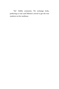"Ah," Dahlia comments. We exchange looks, preferring to wait until Minnie's arrival to get the true rundown on her tardiness.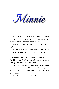Minnie

I park near the curb in front of Sherann's house. Although Sherann insists I park in the driveway, I am particular about blocking in any of her cars.

*I know I am late, but I just want to finish this last puff.*

Balancing the cigarette holder between my fingers, I take a long drag, permitting the mesh of nicotine, menthol, and tobacco to work their magic on my nerves. I release the toxins slowly, counting the number of O's I'm able to make. Snuffing out the Eve Lights in the car's ashtray, I make my way to the house.

The brass door knocker sounds against the door a few times when it opens. It's Dahlia, debutante perfect like always. It is a trait I find admirable and enviable, all in one breath.

"Hey Minnie." She takes the bottle from my hand.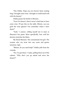"Hey Dahlia. Hope you two haven't been waiting long. I brought some wine. I thought it would mesh well with the dessert."

Dahlia passes the bottle to Sherann.

"Even if it doesn't, there's never a bad time to have some wine. I'll put this on the table. Minnie, can you grab the wine glasses? You remember where I have them?"

"Yeah," I answer, willing myself not to stare at Sherann's hot pants. More specifically, how well her derriere stretches the fabric.

My friend Sherann. The consummate hot girl. The woman who can strut into any room and garner attention. *Sigh.*

"Minnie, do you need help?" Dahlia yells from the veranda.

"No, I've got them," I reply, pulling them out of the cabinet. "Why don't you go ahead and serve the dessert?"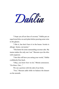Dahlia

"I hope you all are fans of coconut," Dahlia put an equal sized slice on each plate before pouring some wine in the glasses.

"I like it, but don't have it in the house. Scottie is allergic. Senior, not junior."

"This better be some outstanding coconut cake. My mama makes the only one I eat." Sherann eyes the slice with suspicion.

"I bet this will have you eating your words," Dahlia confidently fires back.

"Okay, you know how we do," Minnie announces. "On three. One  $"$ 

We cut a portion with the side of our forks.

"Two," Sherann adds while we balance the dessert on the utensils.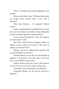"Three," I conclude as the morsels disappear in our mouths.

Sherann is the first to react. "Well, guess this makes two people whose coconut cakes I trust. This is delicious!"

"More than delicious … it's orgasmic!" Minnie concurs.

I smirk, watching Sherann and Minnie devour their slices. As I serve them a second slice, I keep wishing that J would reconsider opening a catering business.

"I am not sure I'd go that far. I hear that orgasms are hard to beat," I joke.

"See, that is where I have to disagree, Dahlia. An orgasm is only as good as its source. If the source is subpar, so is the end result."

"Sherann, why are we talking about orgasms? Did you get laid before we got here?"

"Actually Minnie, you are the one who brought up orgasms, as it pertains to the cake. And, if you must know, I got off before you got here."

I almost choke on my wine. *Never a dull moment, and we aren't even on the main subject of discussion.*

"Everybody is not as fortunate as you Sherann."

"Fortunate? Minnie, *you* are the one who has a husband."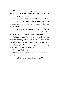Minnie downs her wine, points at me to pour her more. "Just because I have a husband doesn't mean I'm getting shagged every night."

"If not, then what's the point?" Sherann counters.

"Ladies, ladies, ladies, this is supposed to be coconut cake and chill, not coconut cake and confrontation," I interrupt.

"Dahlia, this isn't a confrontation, just a difference of opinion. I just don't get where people think that marriage means a couple is humping like rabbits."

"Minnie, I thought one of the perks of two individuals getting married was constant access to sex. If a person isn't receiving that on the regular, she might as well be single. That's my stance, and there's nothing to be said to convince me otherwise."

"Fair enough, ladies."

I finish what is left of my cake but decline to take another.

"What is the latest on our favorite topic?"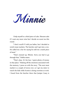Minnie

I help myself to a third piece of cake. Sherann asks if I want any more wine but I decide on sweet tea this round.

"I don't recall if I told you ladies, but I decided to switch meat markets. The butcher and I got into a row. He called me a liar for saying he sold me a stank piece of meat."

"That's messed up, Minnie. Sorry you had to go through that," Dahlia states.

"That's okay. It's his loss. I spent plenty of money in that place." Shaking off the emotions associated with the memory, I press on with the story. "The next meat market is a couple of towns over, so I get my sister to watch the kids while Scottie is doing overtime at work. I heard from the butcher there that Juniper Casey is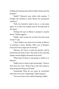looking into buying some land to build a house near his property."

"Really?" Sherann's eyes widen with surprise. "I thought she decided to make Mexico her permanent residence."

"Well, the butcher's sister-in-law is a real estate agent. As it turns out, Juniper may be moving back to the States."

"Perhaps the spot in Mexico is Juniper's vacation home," Dahlia suggests.

"Dahlia, what woman do we know has that much money?" I ask.

"I don't believe you need a lot of money in Mexico to purchase a home. Besides, didn't one of Juniper's lovers leave her a large sum of money?"

"Sherann, all I know is what the butcher said he heard from his sister-in-law. The sister-in-law said that Juniper seemed highly interested in the land."

"What kind of house is she going to build on it, Minnie?"

"Dahlia, here is where it gets interesting," I lean in, then lower my voice. "Rumor has it that she's going to be growing *something* on the land."

"Something? What do you mean by *something*? And why are we now whispering?" Dahlia inquires.

"You never know *who* could be listening, Dahlia."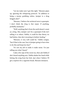"Let me make sure I got this right," Sherann pipes up, ignoring the whispering protocol. "In addition to being a money grubbing widow, Juniper is a drug kingpin also?"

"Sherann, I believe the technical term is queenpin. I don't think the drug is *that* major. If anything, probably marijuana."

"Well, anything that's from the earth doesn't count as a drug. Also, Juniper can't be a queenpin if she isn't selling it to others. Dahlia, it could be that theory we had before, that she's investing in holistic healing."

"Sherann, it very well could be," Dahlia cosigns, "but if that is the case, how is Juniper going to have time to do this and keep low-key?"

"It's not my job to make it make sense. I'm just telling you what I heard."

I take a few sips of the sweet tea, then ask Dahlia if she's heard anything new. Dahlia shakes her head while licking the icing from her fork. Just when I believe I'll get a reprieve for a cigarette break, Sherann interjects.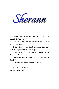Sherann

"Minnie, just curious, how long ago did you meet up with the butcher?"

"Um, think it's been about a month, give or take. Why do you ask?"

I clap, then rub my hands together. "Because I spotted Juniper about two weeks ago."

"You don't say?" Dahlia quirks an eyebrow. "Where did you see her?"

"Remember that old warehouse I've been eyeing, Dahlia?"

"The one you want to turn into a boutique?" "Yeah?"

"What about it?" Minnie butts in, tapping her fingers on the table.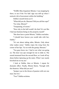"Welllll, Miss Impatient Minnie, I was stopping by there, to see if the 'For Sale' sign was still up when I noticed a bit of movement within the building."

Dahlia's mouth forms an O.

"What did you do, Sherann? Did you call the cops?" "For what, Minnie?"

"Trespassing, of course."

"Now why in the hell would I do that? It's not like I had any business being on the property myself."

"She does have a point Minnie," Dahlia concludes.

"I should have known you would side with her, Dahlia."

"It's not about taking sides, Minnie. Only about what makes sense." Dahlia wipes the icing from the corner of her lips. "Go on with the gossip, Sherann."

"You guys know me. I had to see what was going on. The door was ajar enough for me to slide in. The sound stemmed from the second floor, so I took off my shoes before tiptoeing up the stairs. What I saw nearly knocked me on my ass."

I look at Dahlia, then at Minnie. I repeat for dramatic effect. Finally, Minnie blurts, "Enough with the theatrics. What did you see?"

"Juniper was in the throes of passion with not one man, but two."

"Two!" Dahlia exclaims.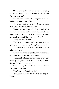Minnie shrugs. "Is that all? What's so exciting about that, Sherann? You've had threesomes on more than one occasion."

"It's not the number of participants but what Juniper was doing to one of them."

"What could Juniper possibly be doing that would be shocking to you?" Minnie counters.

"Juniper had on this contraption. It looked like some type of harness. Only it wasn't because it had an object sticking out from the base. It looked just like a penis and she was sticking it up one guy's ass."

"Surely you jest, Sherann!"

"I kid you not Dahlia. And … get this. The guy getting rammed was making all the pleasure noises."

"I've never heard of such, Sherann. What was the other guy doing?"

"Minnie, he was sucking on Juniper's breasts while getting his penis sucked by the other guy."

"Hot damn!" Minnie slams her palms on the table excitedly. "Juniper sure does lead an exciting life. What did you do? Did they catch you?"

"You're asking what did *I* do?" I glance at Minnie then point at my chest.

"Yes, Sherann. What did you do?"

"Yeah, Sherann. Like, did you join in?" suggests Dahlia.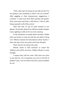"Girls, what type of woman do you take me for? I'm not going to join anything in which I am not invited!" After giggling at their preposterous suggestions, I continue. "I crept away from there quickly and quietly, then went home and took a cold shower. I had to, after being exposed to all of that action."

After that tale, we sip on what remains in our glasses. We ponder about if we will have another Juniper Casey sighting to dish on for our next meeting.

In the meantime, we speak about ourselves. Dahlia picks our brains to come up with the next dish to bring over. Minnie resumes her lamentations about Scottie. I share the date of my next party and invite the girls.

Their answers are always the same.

Minnie needs to find someone to watch the children and will let me know. Dahlia will give it some thought.

I suspect they will not come. They have not come to any thus far. Yet, if surprises can occur in the life of Juniper Casey, I see no reason why they cannot manifest for me.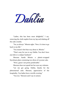Dahlia

"Ladies, this has been most delightful," I say, removing the cloth napkin from my lap and shaking off the cake crumbs.

"Yes, as always." Minnie sighs. "Now, it's time to go back to my life."

"You mustn't feel that way about it, Minnie."

"That's easy for you to say Dahlia. You don't have any kids or a subpar husband."

Sherann hands Minnie a plastic-wrapped Styrofoam plate containing two slices of coconut cake.

"Wow, guess I am pretty predictable."

Sherann does not speak but her eyes say volumes.

"Let me get going. Dahlia, thanks for the phenomenal cake. Sherann, appreciative of the hospitality. You ladies have a terrific evening."

"You too," Sherann and I say in unison.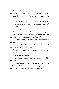Once Minnie leaves, Sherann extends the invitation for me to stay a while but I decline. However, I cleanse the dishes while she puts the remaining cake away.

"Do you want me to drop off the cake tray, Dahlia?"

"No, just hold on to it until our next get together."

"Dahlia?"

"Yes, Sherann?"

"You don't have to wait until we all converge to stop by. Like, you must live relatively close if there are moments when you can walk to my house."

"Sherann, I appreciate that, but I don't want to intrude."

"If you really feel that strongly about it, then call first. You still have the number?"

"Yes, and with that, I'll be on my way. Take care, Sherann."

"Dahlia, can I drop you off?"

"No thanks," I insist. "And besides, like you said, I don't live far."

Sherann presses the issue no further, sending me well wishes. I place extra pep in my step on the way home, eager to remove my pantyhose upon arrival.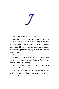J

## *Lia should be arriving any moment.*

I carry the ceramic teacup and matching saucer to the bathroom, then place it on the edge of the tub. Anticipating that Lia's feet would be in pain, I already have the tub filled with water and soothing salts to assist with healing. I press my fingertip on the water's surface, watching the ripples.

"Temperature's perfect," I say.

A sound from the front of the house draws me from the bathroom. Lia's cheeks are flushed. *Tipsy but not plastered*. That was Lia's way.

Kicking shoes off with expediency that were annoying to the feet … also Lia's way.

"Hold on. Don't rip those," I warn, kneeling in front of her. Carefully reaching underneath Lia's skirt, I maneuver the pantyhose until they pool around her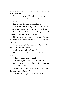ankles. She finishes the removal and tosses them on top of the Mary Janes.

"Thank you Love." After planting a kiss on my forehead, she points at the wrapped plate. "I saved you some cake."

I mosey with the plate to the bathroom.

"Since when are we eating cake in the bathroom?" Lia jokes, unzipping the skirt and leaving it on the floor.

"Um … I guess today. Finish getting undressed. There's a warm bath with your name on it."

Lia's nakedness is in view within seconds. She eases her body down, careful not to knock over the tea I prepared.

"You're amazing," she groans as I take one dainty foot in my hands to massage.

Unable to resist, I brag, "I know."

My cockiness is met with splashes of water to the face.

"I'll pay you back later," I promise.

"I'm counting on it." she spits back, then winks.

As I attend to Lia's other foot, I ask, "So, how are Minnie and Sherann?"

"Minnie was fussing about Scottie … again. And Sherann … well, is Sherann."

"Gotcha. How juicy is the gossip this week?"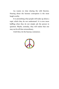Lia wastes no time sharing the wild theories. Hearing about the harness contraption is the most laugh worthy.

It is astonishing what people will make up about a topic which they do not understand. It is even more baffling when they do not simply ask the person in question. Maybe, someday, they will realize that one may not be all that extraordinary.

Until then, let the hearsay commence.

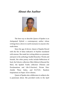## *About the Author*



The best way to describe Queen of Spades is an Antiquated Hybrid: a contemporary author whose writings have a down-to-earth resonance to anyone who reads them.

Since the age of eleven, Queen of Spades flowed with the fire of ideas indicative of rhythm inundated with stanzas. She made her writing debut as a presenter and poet in the anthology Soulful Branches: Words and Sounds. Her other poetry works include Reflections of Soul, the Eclectic collection (Skin Edition & Beyond the Skin), the Spaded Truths collection (Themes and Proclamations and Life-O-Suction), Private Pain: Amidst These Ashes, and R.I.P.(E).: Random Inspirations on Paper: (E)ve-olution.

Queen of Spades also collaborates in subjects she is passionate about. She provided works in the April